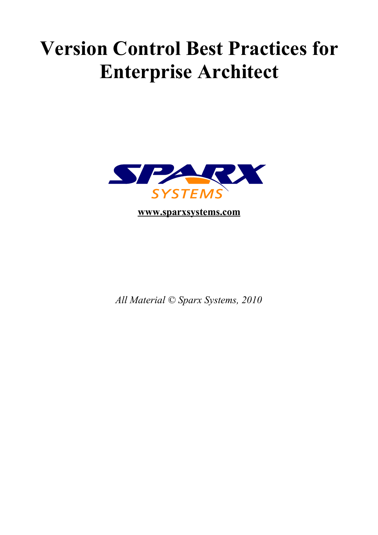## **Version Control Best Practices for Enterprise Architect**



**[www.sparxsystems.com](http://www.sparxsystems.com/)**

*All Material © Sparx Systems, 2010*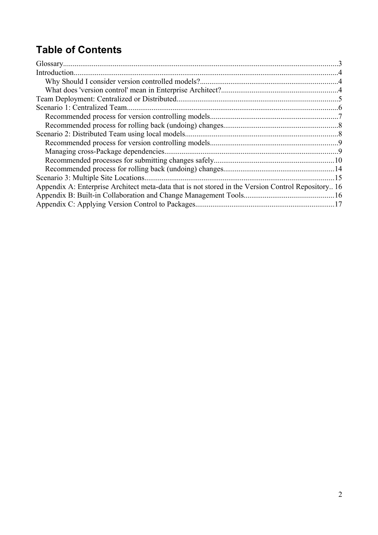## **Table of Contents**

| Introduction                                                                                       |     |
|----------------------------------------------------------------------------------------------------|-----|
|                                                                                                    |     |
|                                                                                                    |     |
|                                                                                                    |     |
| Scenario 1: Centralized Team.                                                                      |     |
|                                                                                                    |     |
|                                                                                                    |     |
|                                                                                                    |     |
|                                                                                                    |     |
|                                                                                                    |     |
|                                                                                                    |     |
|                                                                                                    |     |
| Scenario 3: Multiple Site Locations.                                                               | -15 |
| Appendix A: Enterprise Architect meta-data that is not stored in the Version Control Repository 16 |     |
|                                                                                                    |     |
|                                                                                                    |     |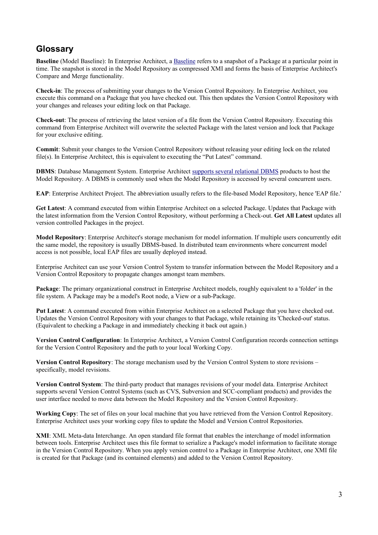### **Glossary**

**Baseline** (Model Baseline): In Enterprise Architect, a [Baseline](http://www.sparxsystems.com/uml_tool_guide/model_management/managingmodels.htm#base) refers to a snapshot of a Package at a particular point in time. The snapshot is stored in the Model Repository as compressed XMI and forms the basis of Enterprise Architect's Compare and Merge functionality.

**Check-in**: The process of submitting your changes to the Version Control Repository. In Enterprise Architect, you execute this command on a Package that you have checked out. This then updates the Version Control Repository with your changes and releases your editing lock on that Package.

**Check-out**: The process of retrieving the latest version of a file from the Version Control Repository. Executing this command from Enterprise Architect will overwrite the selected Package with the latest version and lock that Package for your exclusive editing.

**Commit**: Submit your changes to the Version Control Repository without releasing your editing lock on the related file(s). In Enterprise Architect, this is equivalent to executing the "Put Latest" command.

**DBMS**: Database Management System. Enterprise Architect [supports several relational DBMS](http://www.sparxsystems.com/resources/corporate/index.html#sql_scripts) products to host the Model Repository. A DBMS is commonly used when the Model Repository is accessed by several concurrent users.

**EAP**: Enterprise Architect Project. The abbreviation usually refers to the file-based Model Repository, hence 'EAP file.'

**Get Latest**: A command executed from within Enterprise Architect on a selected Package. Updates that Package with the latest information from the Version Control Repository, without performing a Check-out. **Get All Latest** updates all version controlled Packages in the project.

**Model Repository**: Enterprise Architect's storage mechanism for model information. If multiple users concurrently edit the same model, the repository is usually DBMS-based. In distributed team environments where concurrent model access is not possible, local EAP files are usually deployed instead.

Enterprise Architect can use your Version Control System to transfer information between the Model Repository and a Version Control Repository to propagate changes amongst team members.

**Package**: The primary organizational construct in Enterprise Architect models, roughly equivalent to a 'folder' in the file system. A Package may be a model's Root node, a View or a sub-Package.

**Put Latest**: A command executed from within Enterprise Architect on a selected Package that you have checked out. Updates the Version Control Repository with your changes to that Package, while retaining its 'Checked-out' status. (Equivalent to checking a Package in and immediately checking it back out again.)

**Version Control Configuration**: In Enterprise Architect, a Version Control Configuration records connection settings for the Version Control Repository and the path to your local Working Copy.

**Version Control Repository**: The storage mechanism used by the Version Control System to store revisions – specifically, model revisions.

**Version Control System**: The third-party product that manages revisions of your model data. Enterprise Architect supports several Version Control Systems (such as CVS, Subversion and SCC-compliant products) and provides the user interface needed to move data between the Model Repository and the Version Control Repository.

**Working Copy**: The set of files on your local machine that you have retrieved from the Version Control Repository. Enterprise Architect uses your working copy files to update the Model and Version Control Repositories.

**XMI**: XML Meta-data Interchange. An open standard file format that enables the interchange of model information between tools. Enterprise Architect uses this file format to serialize a Package's model information to facilitate storage in the Version Control Repository. When you apply version control to a Package in Enterprise Architect, one XMI file is created for that Package (and its contained elements) and added to the Version Control Repository.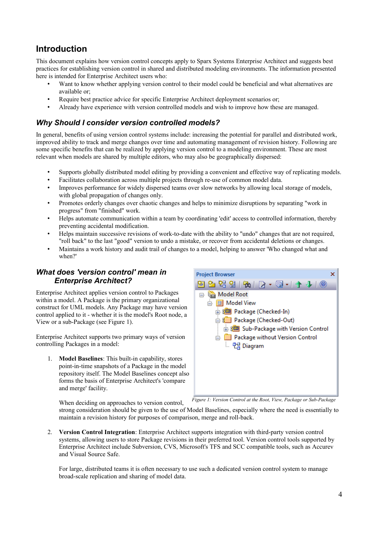## **Introduction**

This document explains how version control concepts apply to Sparx Systems Enterprise Architect and suggests best practices for establishing version control in shared and distributed modeling environments. The information presented here is intended for Enterprise Architect users who:

- Want to know whether applying version control to their model could be beneficial and what alternatives are available or;
- Require best practice advice for specific Enterprise Architect deployment scenarios or;
- Already have experience with version controlled models and wish to improve how these are managed.

### *Why Should I consider version controlled models?*

In general, benefits of using version control systems include: increasing the potential for parallel and distributed work, improved ability to track and merge changes over time and automating management of revision history. Following are some specific benefits that can be realized by applying version control to a modeling environment. These are most relevant when models are shared by multiple editors, who may also be geographically dispersed:

- Supports globally distributed model editing by providing a convenient and effective way of replicating models.
- Facilitates collaboration across multiple projects through re-use of common model data.
- Improves performance for widely dispersed teams over slow networks by allowing local storage of models, with global propagation of changes only.
- Promotes orderly changes over chaotic changes and helps to minimize disruptions by separating "work in progress" from "finished" work.
- Helps automate communication within a team by coordinating 'edit' access to controlled information, thereby preventing accidental modification.
- Helps maintain successive revisions of work-to-date with the ability to "undo" changes that are not required, "roll back" to the last "good" version to undo a mistake, or recover from accidental deletions or changes.
- Maintains a work history and audit trail of changes to a model, helping to answer 'Who changed what and when?'

### *What does 'version control' mean in Enterprise Architect?*

Enterprise Architect applies version control to Packages within a model. A Package is the primary organizational construct for UML models. Any Package may have version control applied to it - whether it is the model's Root node, a View or a sub-Package (see [Figure 1\)](#page-3-0).

Enterprise Architect supports two primary ways of version controlling Packages in a model:

1. **Model Baselines**: This built-in capability, stores point-in-time snapshots of a Package in the model repository itself. The Model Baselines concept also forms the basis of Enterprise Architect's 'compare and merge' facility.

<span id="page-3-0"></span>

*Figure 1: Version Control at the Root, View, Package or Sub-Package*

When deciding on approaches to version control,

strong consideration should be given to the use of Model Baselines, especially where the need is essentially to maintain a revision history for purposes of comparison, merge and roll-back.

2. **Version Control Integration**: Enterprise Architect supports integration with third-party version control systems, allowing users to store Package revisions in their preferred tool. Version control tools supported by Enterprise Architect include Subversion, CVS, Microsoft's TFS and SCC compatible tools, such as Accurev and Visual Source Safe.

For large, distributed teams it is often necessary to use such a dedicated version control system to manage broad-scale replication and sharing of model data.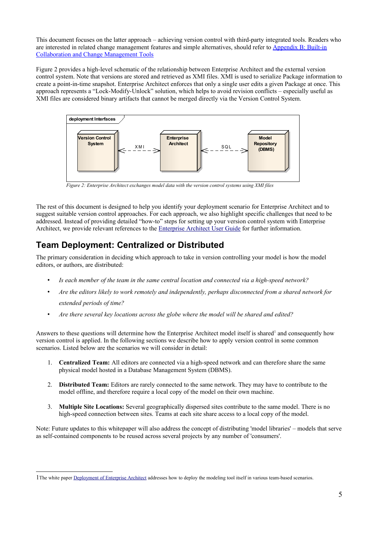This document focuses on the latter approach – achieving version control with third-party integrated tools. Readers who are interested in related change management features and simple alternatives, should refer to [Appendix B: Built-in](#page-15-0) [Collaboration and Change Management Tools](#page-15-0)

[Figure 2](#page-4-0) provides a high-level schematic of the relationship between Enterprise Architect and the external version control system. Note that versions are stored and retrieved as XMI files. XMI is used to serialize Package information to create a point-in-time snapshot. Enterprise Architect enforces that only a single user edits a given Package at once. This approach represents a "Lock-Modify-Unlock" solution, which helps to avoid revision conflicts – especially useful as XMI files are considered binary artifacts that cannot be merged directly via the Version Control System.



<span id="page-4-0"></span>*Figure 2: Enterprise Architect exchanges model data with the version control systems using XMI files*

The rest of this document is designed to help you identify your deployment scenario for Enterprise Architect and to suggest suitable version control approaches. For each approach, we also highlight specific challenges that need to be addressed. Instead of providing detailed "how-to" steps for setting up your version control system with Enterprise Architect, we provide relevant references to the [Enterprise Architect User Guide](http://www.sparxsystems.com/uml_tool_guide) for further information.

## **Team Deployment: Centralized or Distributed**

The primary consideration in deciding which approach to take in version controlling your model is how the model editors, or authors, are distributed:

- *Is each member of the team in the same central location and connected via a high-speed network?*
- *Are the editors likely to work remotely and independently, perhaps disconnected from a shared network for extended periods of time?*
- *Are there several key locations across the globe where the model will be shared and edited?*

Answers to these questions will determine how the Enterprise Architect model itself is shared<sup>[1](#page-4-1)</sup> and consequently how version control is applied. In the following sections we describe how to apply version control in some common scenarios. Listed below are the scenarios we will consider in detail:

- 1. **Centralized Team:** All editors are connected via a high-speed network and can therefore share the same physical model hosted in a Database Management System (DBMS).
- 2. **Distributed Team:** Editors are rarely connected to the same network. They may have to contribute to the model offline, and therefore require a local copy of the model on their own machine.
- 3. **Multiple Site Locations:** Several geographically dispersed sites contribute to the same model. There is no high-speed connection between sites. Teams at each site share access to a local copy of the model.

Note: Future updates to this whitepaper will also address the concept of distributing 'model libraries' – models that serve as self-contained components to be reused across several projects by any number of 'consumers'.

<span id="page-4-1"></span><sup>1</sup>The white paper [Deployment of Enterprise Architect](http://www.sparxsystems.com/downloads/whitepapers/EA_Deployment.pdf) addresses how to deploy the modeling tool itself in various team-based scenarios.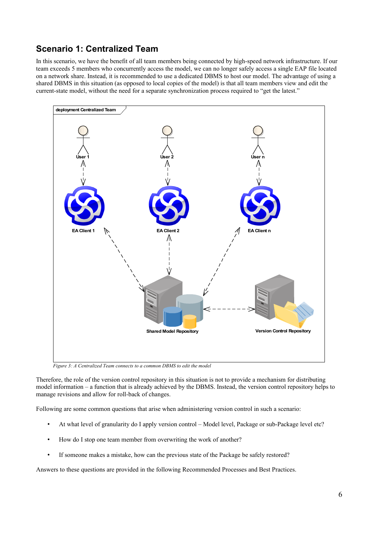## <span id="page-5-0"></span>**Scenario 1: Centralized Team**

In this scenario, we have the benefit of all team members being connected by high-speed network infrastructure. If our team exceeds 5 members who concurrently access the model, we can no longer safely access a single EAP file located on a network share. Instead, it is recommended to use a dedicated DBMS to host our model. The advantage of using a shared DBMS in this situation (as opposed to local copies of the model) is that all team members view and edit the current-state model, without the need for a separate synchronization process required to "get the latest."



*Figure 3: A Centralized Team connects to a common DBMS to edit the model*

Therefore, the role of the version control repository in this situation is not to provide a mechanism for distributing model information – a function that is already achieved by the DBMS. Instead, the version control repository helps to manage revisions and allow for roll-back of changes.

Following are some common questions that arise when administering version control in such a scenario:

- At what level of granularity do I apply version control Model level, Package or sub-Package level etc?
- How do I stop one team member from overwriting the work of another?
- If someone makes a mistake, how can the previous state of the Package be safely restored?

Answers to these questions are provided in the following Recommended Processes and Best Practices.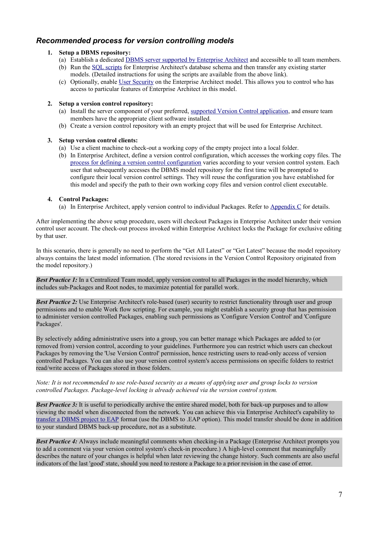### *Recommended process for version controlling models*

### **1. Setup a DBMS repository:**

- (a) Establish a dedicated [DBMS server supported by Enterprise Architect](http://www.sparxsystems.com/resources/corporate/index.html#sql_scripts) and accessible to all team members.
- (b) Run the [SQL scripts](http://www.sparxsystems.com/resources/corporate/#sql_scripts) for Enterprise Architect's database schema and then transfer any existing starter models. (Detailed instructions for using the scripts are available from the above link).
- (c) Optionally, enable [User Security](http://www.sparxsystems.com/uml_tool_guide/uml_model_management/usersecurity.html) on the Enterprise Architect model. This allows you to control who has access to particular features of Enterprise Architect in this model.

### **2. Setup a version control repository:**

- (a) Install the server component of your preferred, [supported Version Control application,](http://www.sparxsystems.com/uml_tool_guide/uml_model_management/versioncontrol.html) and ensure team members have the appropriate client software installed.
- (b) Create a version control repository with an empty project that will be used for Enterprise Architect.

### **3. Setup version control clients:**

- (a) Use a client machine to check-out a working copy of the empty project into a local folder.
- (b) In Enterprise Architect, define a version control configuration, which accesses the working copy files. The [process for defining a version control configuration](http://www.sparxsystems.com/uml_tool_guide/uml_model_management/versioncontrolsetup.html) varies according to your version control system. Each user that subsequently accesses the DBMS model repository for the first time will be prompted to configure their local version control settings. They will reuse the configuration you have established for this model and specify the path to their own working copy files and version control client executable.

### **4. Control Packages:**

(a) In Enterprise Architect, apply version control to individual Packages. Refer to [Appendix C](#page-16-0) for details.

After implementing the above setup procedure, users will checkout Packages in Enterprise Architect under their version control user account. The check-out process invoked within Enterprise Architect locks the Package for exclusive editing by that user.

In this scenario, there is generally no need to perform the "Get All Latest" or "Get Latest" because the model repository always contains the latest model information. (The stored revisions in the Version Control Repository originated from the model repository.)

*Best Practice 1:* In a Centralized Team model, apply version control to all Packages in the model hierarchy, which includes sub-Packages and Root nodes, to maximize potential for parallel work.

*Best Practice 2:* Use Enterprise Architect's role-based (user) security to restrict functionality through user and group permissions and to enable Work flow scripting. For example, you might establish a security group that has permission to administer version controlled Packages, enabling such permissions as 'Configure Version Control' and 'Configure Packages'.

By selectively adding administrative users into a group, you can better manage which Packages are added to (or removed from) version control, according to your guidelines. Furthermore you can restrict which users can checkout Packages by removing the 'Use Version Control' permission, hence restricting users to read-only access of version controlled Packages. You can also use your version control system's access permissions on specific folders to restrict read/write access of Packages stored in those folders.

### *Note: It is not recommended to use role-based security as a means of applying user and group locks to version controlled Packages. Package-level locking is already achieved via the version control system.*

*Best Practice 3:* It is useful to periodically archive the entire shared model, both for back-up purposes and to allow viewing the model when disconnected from the network. You can achieve this via Enterprise Architect's capability to [transfer a DBMS project to EAP](http://www.sparxsystems.com/uml_tool_guide/model_management/datatransfer2.htm) format (use the DBMS to .EAP option). This model transfer should be done in addition to your standard DBMS back-up procedure, not as a substitute.

*Best Practice 4:* Always include meaningful comments when checking-in a Package (Enterprise Architect prompts you to add a comment via your version control system's check-in procedure.) A high-level comment that meaningfully describes the nature of your changes is helpful when later reviewing the change history. Such comments are also useful indicators of the last 'good' state, should you need to restore a Package to a prior revision in the case of error.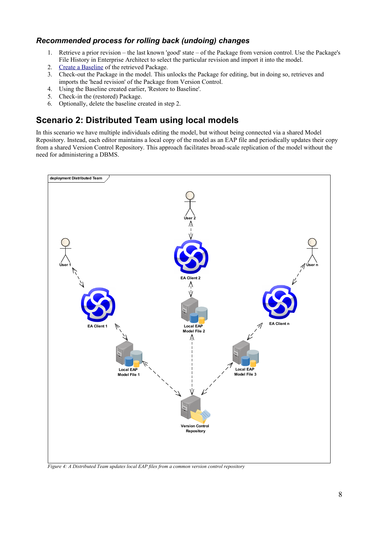### <span id="page-7-0"></span>*Recommended process for rolling back (undoing) changes*

- 1. Retrieve a prior revision the last known 'good' state of the Package from version control. Use the Package's File History in Enterprise Architect to select the particular revision and import it into the model.
- 2. [Create a Baseline](http://www.sparxsystems.com/uml_tool_guide/model_management/creatingbaselines.htm) of the retrieved Package.
- 3. Check-out the Package in the model. This unlocks the Package for editing, but in doing so, retrieves and imports the 'head revision' of the Package from Version Control.
- 4. Using the Baseline created earlier, 'Restore to Baseline'.
- 5. Check-in the (restored) Package.
- 6. Optionally, delete the baseline created in step 2.

## <span id="page-7-1"></span>**Scenario 2: Distributed Team using local models**

In this scenario we have multiple individuals editing the model, but without being connected via a shared Model Repository. Instead, each editor maintains a local copy of the model as an EAP file and periodically updates their copy from a shared Version Control Repository. This approach facilitates broad-scale replication of the model without the need for administering a DBMS.



*Figure 4: A Distributed Team updates local EAP files from a common version control repository*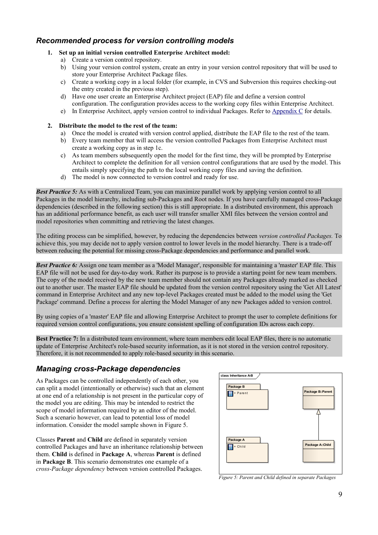### *Recommended process for version controlling models*

- **1. Set up an initial version controlled Enterprise Architect model:**
	- a) Create a version control repository.
	- b) Using your version control system, create an entry in your version control repository that will be used to store your Enterprise Architect Package files.
	- c) Create a working copy in a local folder (for example, in CVS and Subversion this requires checking-out the entry created in the previous step).
	- d) Have one user create an Enterprise Architect project (EAP) file and define a version control configuration. The configuration provides access to the working copy files within Enterprise Architect.
	- e) In Enterprise Architect, apply version control to individual Packages. Refer to [Appendix C](#page-16-0) for details.
- **2. Distribute the model to the rest of the team:**
	- a) Once the model is created with version control applied, distribute the EAP file to the rest of the team.
	- b) Every team member that will access the version controlled Packages from Enterprise Architect must create a working copy as in step 1c.
	- c) As team members subsequently open the model for the first time, they will be prompted by Enterprise Architect to complete the definition for all version control configurations that are used by the model. This entails simply specifying the path to the local working copy files and saving the definition.
	- d) The model is now connected to version control and ready for use.

*Best Practice 5:* As with a Centralized Team, you can maximize parallel work by applying version control to all Packages in the model hierarchy, including sub-Packages and Root nodes. If you have carefully managed cross-Package dependencies (described in the following section) this is still appropriate. In a distributed environment, this approach has an additional performance benefit, as each user will transfer smaller XMI files between the version control and model repositories when committing and retrieving the latest changes.

The editing process can be simplified, however, by reducing the dependencies between *version controlled Packages.* To achieve this, you may decide not to apply version control to lower levels in the model hierarchy. There is a trade-off between reducing the potential for missing cross-Package dependencies and performance and parallel work.

*Best Practice 6:* Assign one team member as a 'Model Manager', responsible for maintaining a 'master' EAP file. This EAP file will not be used for day-to-day work. Rather its purpose is to provide a starting point for new team members. The copy of the model received by the new team member should not contain any Packages already marked as checked out to another user. The master EAP file should be updated from the version control repository using the 'Get All Latest' command in Enterprise Architect and any new top-level Packages created must be added to the model using the 'Get Package' command. Define a process for alerting the Model Manager of any new Packages added to version control.

By using copies of a 'master' EAP file and allowing Enterprise Architect to prompt the user to complete definitions for required version control configurations, you ensure consistent spelling of configuration IDs across each copy.

**Best Practice 7:** In a distributed team environment, where team members edit local EAP files, there is no automatic update of Enterprise Architect's role-based security information, as it is not stored in the version control repository. Therefore, it is not recommended to apply role-based security in this scenario.

### *Managing cross-Package dependencies*

As Packages can be controlled independently of each other, you can split a model (intentionally or otherwise) such that an element at one end of a relationship is not present in the particular copy of the model you are editing. This may be intended to restrict the scope of model information required by an editor of the model. Such a scenario however, can lead to potential loss of model information. Consider the model sample shown in [Figure 5.](#page-8-0)

Classes **Parent** and **Child** are defined in separately version controlled Packages and have an inheritance relationship between them. **Child** is defined in **Package A**, whereas **Parent** is defined in **Package B**. This scenario demonstrates one example of a *cross-Package dependency* between version controlled Packages.

| class Inheritance A-B |                   |
|-----------------------|-------------------|
| Package B<br>+ Parent | Package B::Parent |
| Package A<br>+ Child  | Package A:: Child |

<span id="page-8-0"></span>*Figure 5: Parent and Child defined in separate Packages*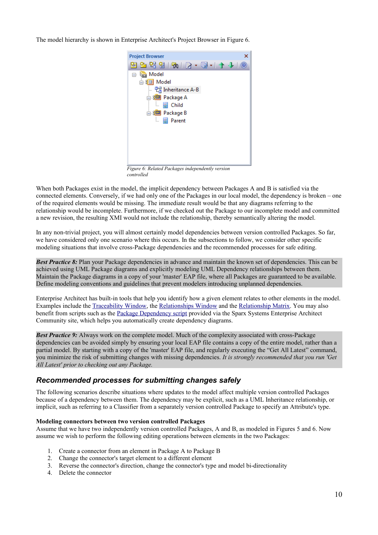The model hierarchy is shown in Enterprise Architect's Project Browser in [Figure 6.](#page-9-0)



*Figure 6: Related Packages independently version controlled*

<span id="page-9-0"></span>When both Packages exist in the model, the implicit dependency between Packages A and B is satisfied via the connected elements. Conversely, if we had only one of the Packages in our local model, the dependency is broken – one of the required elements would be missing. The immediate result would be that any diagrams referring to the relationship would be incomplete. Furthermore, if we checked out the Package to our incomplete model and committed a new revision, the resulting XMI would not include the relationship, thereby semantically altering the model.

In any non-trivial project, you will almost certainly model dependencies between version controlled Packages. So far, we have considered only one scenario where this occurs. In the subsections to follow, we consider other specific modeling situations that involve cross-Package dependencies and the recommended processes for safe editing.

*Best Practice 8:* Plan your Package dependencies in advance and maintain the known set of dependencies. This can be achieved using UML Package diagrams and explicitly modeling UML Dependency relationships between them. Maintain the Package diagrams in a copy of your 'master' EAP file, where all Packages are guaranteed to be available. Define modeling conventions and guidelines that prevent modelers introducing unplanned dependencies.

Enterprise Architect has built-in tools that help you identify how a given element relates to other elements in the model. Examples include the [Traceability Window,](http://www.sparxsystems.com/uml_tool_guide/modeling_tool_features/hierarchy.htm) the [Relationships Window](http://www.sparxsystems.com/uml_tool_guide/modeling_tool_features/linktab.htm) and the [Relationship Matrix.](http://www.sparxsystems.com/uml_tool_guide/modeling/elementrelationshipmatrix.htm) You may also benefit from scripts such as the [Package Dependency script](http://community.sparxsystems.com/resources/scripts/visualization-package-dependencies) provided via the Sparx Systems Enterprise Architect Community site, which helps you automatically create dependency diagrams.

*Best Practice 9:* Always work on the complete model. Much of the complexity associated with cross-Package dependencies can be avoided simply by ensuring your local EAP file contains a copy of the entire model, rather than a partial model. By starting with a copy of the 'master' EAP file, and regularly executing the "Get All Latest" command, you minimize the risk of submitting changes with missing dependencies. *It is strongly recommended that you run 'Get All Latest' prior to checking out any Package.*

### *Recommended processes for submitting changes safely*

The following scenarios describe situations where updates to the model affect multiple version controlled Packages because of a dependency between them. The dependency may be explicit, such as a UML Inheritance relationship, or implicit, such as referring to a Classifier from a separately version controlled Package to specify an Attribute's type.

### **Modeling connectors between two version controlled Packages**

Assume that we have two independently version controlled Packages, A and B, as modeled in Figures [5](#page-8-0) and [6.](#page-9-0) Now assume we wish to perform the following editing operations between elements in the two Packages:

- 1. Create a connector from an element in Package A to Package B
- 2. Change the connector's target element to a different element
- 3. Reverse the connector's direction, change the connector's type and model bi-directionality
- 4. Delete the connector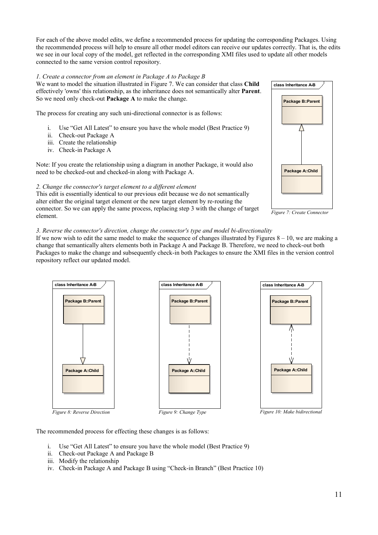For each of the above model edits, we define a recommended process for updating the corresponding Packages. Using the recommended process will help to ensure all other model editors can receive our updates correctly. That is, the edits we see in our local copy of the model, get reflected in the corresponding XMI files used to update all other models connected to the same version control repository.

### *1. Create a connector from an element in Package A to Package B*

We want to model the situation illustrated in Figure [7.](#page-10-2) We can consider that class **Child** effectively 'owns' this relationship, as the inheritance does not semantically alter **Parent**. So we need only check-out **Package A** to make the change.

The process for creating any such uni-directional connector is as follows:

- i. Use "Get All Latest" to ensure you have the whole model (Best Practice 9)
- ii. Check-out Package A
- iii. Create the relationship
- iv. Check-in Package A

Note: If you create the relationship using a diagram in another Package, it would also need to be checked-out and checked-in along with Package A.

### *2. Change the connector's target element to a different element*

This edit is essentially identical to our previous edit because we do not semantically alter either the original target element or the new target element by re-routing the connector. So we can apply the same process, replacing step 3 with the change of target element.

# **class Inheritance A-B Package B::Parent** / \ **Package A::Child**

<span id="page-10-2"></span><span id="page-10-0"></span>*Figure 7: Create Connector*

### *3. Reverse the connector's direction, change the connector's type and model bi-directionality*

If we now wish to edit the same model to make the sequence of changes illustrated by Figures  $8 - 10$ , we are making a change that semantically alters elements both in Package A and Package B. Therefore, we need to check-out both Packages to make the change and subsequently check-in both Packages to ensure the XMI files in the version control repository reflect our updated model.



<span id="page-10-1"></span>The recommended process for effecting these changes is as follows:

- i. Use "Get All Latest" to ensure you have the whole model (Best Practice 9)
- ii. Check-out Package A and Package B
- iii. Modify the relationship
- iv. Check-in Package A and Package B using "Check-in Branch" (Best Practice 10)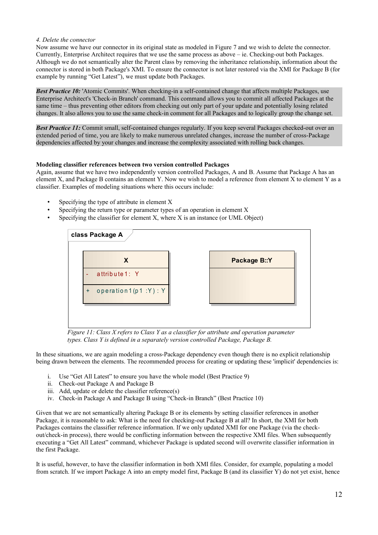### *4. Delete the connector*

Now assume we have our connector in its original state as modeled in Figure [7](#page-10-2) and we wish to delete the connector. Currently, Enterprise Architect requires that we use the same process as above – ie. Checking-out both Packages. Although we do not semantically alter the Parent class by removing the inheritance relationship, information about the connector is stored in both Package's XMI. To ensure the connector is not later restored via the XMI for Package B (for example by running "Get Latest"), we must update both Packages.

*Best Practice 10:* 'Atomic Commits'. When checking-in a self-contained change that affects multiple Packages, use Enterprise Architect's 'Check-in Branch' command. This command allows you to commit all affected Packages at the same time – thus preventing other editors from checking out only part of your update and potentially losing related changes. It also allows you to use the same check-in comment for all Packages and to logically group the change set.

*Best Practice 11:* Commit small, self-contained changes regularly. If you keep several Packages checked-out over an extended period of time, you are likely to make numerous unrelated changes, increase the number of cross-Package dependencies affected by your changes and increase the complexity associated with rolling back changes.

### **Modeling classifier references between two version controlled Packages**

Again, assume that we have two independently version controlled Packages, A and B. Assume that Package A has an element X, and Package B contains an element Y. Now we wish to model a reference from element X to element Y as a classifier. Examples of modeling situations where this occurs include:

- Specifying the type of attribute in element X
- Specifying the return type or parameter types of an operation in element X
- Specifying the classifier for element  $X$ , where  $X$  is an instance (or UML Object)



*Figure 11: Class X refers to Class Y as a classifier for attribute and operation parameter types. Class Y is defined in a separately version controlled Package, Package B.*

In these situations, we are again modeling a cross-Package dependency even though there is no explicit relationship being drawn between the elements. The recommended process for creating or updating these 'implicit' dependencies is:

- i. Use "Get All Latest" to ensure you have the whole model (Best Practice 9)
- ii. Check-out Package A and Package B
- iii. Add, update or delete the classifier reference(s)
- iv. Check-in Package A and Package B using "Check-in Branch" (Best Practice 10)

Given that we are not semantically altering Package B or its elements by setting classifier references in another Package, it is reasonable to ask: What is the need for checking-out Package B at all? In short, the XMI for both Packages contains the classifier reference information. If we only updated XMI for one Package (via the checkout/check-in process), there would be conflicting information between the respective XMI files. When subsequently executing a "Get All Latest" command, whichever Package is updated second will overwrite classifier information in the first Package.

It is useful, however, to have the classifier information in both XMI files. Consider, for example, populating a model from scratch. If we import Package A into an empty model first, Package B (and its classifier Y) do not yet exist, hence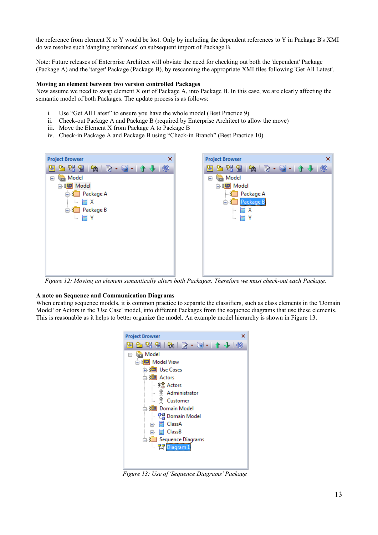the reference from element X to Y would be lost. Only by including the dependent references to Y in Package B's XMI do we resolve such 'dangling references' on subsequent import of Package B.

Note: Future releases of Enterprise Architect will obviate the need for checking out both the 'dependent' Package (Package A) and the 'target' Package (Package B), by rescanning the appropriate XMI files following 'Get All Latest'.

### **Moving an element between two version controlled Packages**

Now assume we need to swap element X out of Package A, into Package B. In this case, we are clearly affecting the semantic model of both Packages. The update process is as follows:

- i. Use "Get All Latest" to ensure you have the whole model (Best Practice 9)
- ii. Check-out Package A and Package B (required by Enterprise Architect to allow the move)
- iii. Move the Element X from Package A to Package B
- iv. Check-in Package A and Package B using "Check-in Branch" (Best Practice 10)

| <b>Project Browser</b>                                                         | × |
|--------------------------------------------------------------------------------|---|
| $2$ 2 2 3 4 $\mathbb{R}$ . B $\cdot$ 5 $\cdot$ 1 $\mathbb{A}$ + 1 $\odot$<br>∾ |   |
| Model<br>$\Box$                                                                |   |
| 白8 <mark>⊡</mark> Model                                                        |   |
| <b>E</b> 8 <sup>1</sup> Package A                                              |   |
| 冒 X<br>i<br>Package B<br><b>EXID</b>                                           |   |
| └ ■ Y                                                                          |   |
|                                                                                |   |
|                                                                                |   |
|                                                                                |   |
|                                                                                |   |
|                                                                                |   |
|                                                                                |   |

*Figure 12: Moving an element semantically alters both Packages. Therefore we must check-out each Package.*

#### **A note on Sequence and Communication Diagrams**

When creating sequence models, it is common practice to separate the classifiers, such as class elements in the 'Domain Model' or Actors in the 'Use Case' model, into different Packages from the sequence diagrams that use these elements. This is reasonable as it helps to better organize the model. An example model hierarchy is shown in [Figure 13.](#page-12-0)

<span id="page-12-0"></span>

*Figure 13: Use of 'Sequence Diagrams' Package*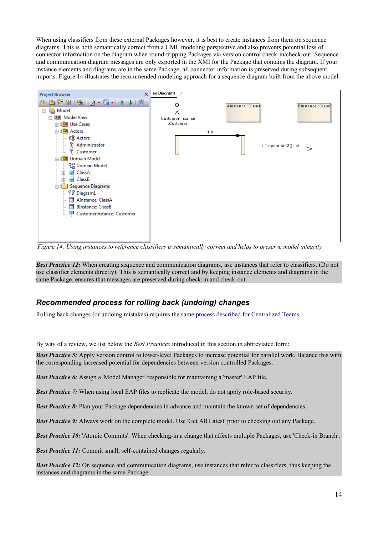When using classifiers from these external Packages however, it is best to create instances from them on sequence diagrams. This is both semantically correct from a UML modeling perspective and also prevents potential loss of connector information on the diagram when round-tripping Packages via version control check-in/check-out. Sequence and communication diagram messages are only exported in the XMI for the Package that contains the diagram. If your instance elements and diagrams are in the same Package, all connector information is preserved during subsequent imports. [Figure 14](#page-13-0) illustrates the recommended modeling approach for a sequence diagram built from the above model.



<span id="page-13-0"></span>*Figure 14: Using instances to reference classifiers is semantically correct and helps to preserve model integrity*

*Best Practice 12:* When creating sequence and communication diagrams, use instances that refer to classifiers. (Do not use classifier elements directly). This is semantically correct and by keeping instance elements and diagrams in the same Package, ensures that messages are preserved during check-in and check-out.

### *Recommended process for rolling back (undoing) changes*

Rolling back changes (or undoing mistakes) requires the same [process described for Centralized Teams.](#page-7-0)

By way of a review, we list below the *Best Practices* introduced in this section in abbreviated form:

*Best Practice 5:* Apply version control to lower-level Packages to increase potential for parallel work. Balance this with the corresponding increased potential for dependencies between version controlled Packages.

*Best Practice 6:* Assign a 'Model Manager' responsible for maintaining a 'master' EAP file.

*Best Practice 7:* When using local EAP files to replicate the model, do not apply role-based security.

*Best Practice 8:* Plan your Package dependencies in advance and maintain the known set of dependencies.

*Best Practice 9:* Always work on the complete model. Use 'Get All Latest' prior to checking out any Package.

*Best Practice 10:* 'Atomic Commits'. When checking-in a change that affects multiple Packages, use 'Check-in Branch'.

*Best Practice 11:* Commit small, self-contained changes regularly.

*Best Practice 12:* On sequence and communication diagrams, use instances that refer to classifiers, thus keeping the instances and diagrams in the same Package.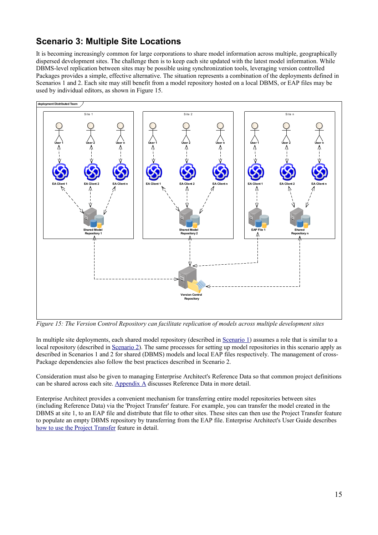## **Scenario 3: Multiple Site Locations**

It is becoming increasingly common for large corporations to share model information across multiple, geographically dispersed development sites. The challenge then is to keep each site updated with the latest model information. While DBMS-level replication between sites may be possible using synchronization tools, leveraging version controlled Packages provides a simple, effective alternative. The situation represents a combination of the deployments defined in Scenarios 1 and 2. Each site may still benefit from a model repository hosted on a local DBMS, or EAP files may be used by individual editors, as shown in [Figure 15.](#page-14-0)



<span id="page-14-0"></span>*Figure 15: The Version Control Repository can facilitate replication of models across multiple development sites*

In multiple site deployments, each shared model repository (described in [Scenario 1\)](#page-5-0) assumes a role that is similar to a local repository (described in [Scenario 2\)](#page-7-1). The same processes for setting up model repositories in this scenario apply as described in Scenarios 1 and 2 for shared (DBMS) models and local EAP files respectively. The management of cross-Package dependencies also follow the best practices described in Scenario 2.

Consideration must also be given to managing Enterprise Architect's Reference Data so that common project definitions can be shared across each site. [Appendix A](#page-15-1) discusses Reference Data in more detail.

Enterprise Architect provides a convenient mechanism for transferring entire model repositories between sites (including Reference Data) via the 'Project Transfer' feature. For example, you can transfer the model created in the DBMS at site 1, to an EAP file and distribute that file to other sites. These sites can then use the Project Transfer feature to populate an empty DBMS repository by transferring from the EAP file. Enterprise Architect's User Guide describes [how to use the Project Transfer](http://www.sparxsystems.com/uml_tool_guide/model_management/datatransfer2.htm) feature in detail.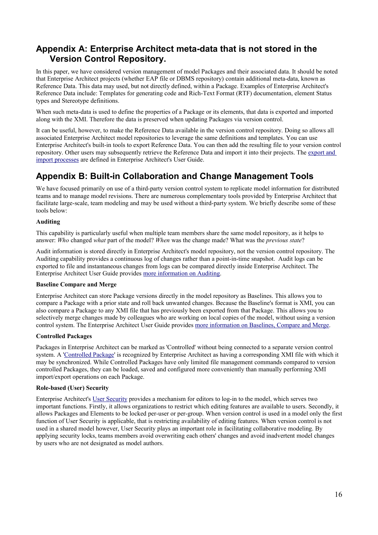## <span id="page-15-1"></span>**Appendix A: Enterprise Architect meta-data that is not stored in the Version Control Repository.**

In this paper, we have considered version management of model Packages and their associated data. It should be noted that Enterprise Architect projects (whether EAP file or DBMS repository) contain additional meta-data, known as Reference Data. This data may used, but not directly defined, within a Package. Examples of Enterprise Architect's Reference Data include: Templates for generating code and Rich-Text Format (RTF) documentation, element Status types and Stereotype definitions.

When such meta-data is used to define the properties of a Package or its elements, that data is exported and imported along with the XMI. Therefore the data is preserved when updating Packages via version control.

It can be useful, however, to make the Reference Data available in the version control repository. Doing so allows all associated Enterprise Architect model repositories to leverage the same definitions and templates. You can use Enterprise Architect's built-in tools to export Reference Data. You can then add the resulting file to your version control repository. Other users may subsequently retrieve the Reference Data and import it into their projects. The [export and](http://www.sparxsystems.com/uml_tool_guide/model_management/referencedata.htm) [import processes](http://www.sparxsystems.com/uml_tool_guide/model_management/referencedata.htm) are defined in Enterprise Architect's User Guide.

## <span id="page-15-0"></span>**Appendix B: Built-in Collaboration and Change Management Tools**

We have focused primarily on use of a third-party version control system to replicate model information for distributed teams and to manage model revisions. There are numerous complementary tools provided by Enterprise Architect that facilitate large-scale, team modeling and may be used without a third-party system. We briefly describe some of these tools below:

### **Auditing**

This capability is particularly useful when multiple team members share the same model repository, as it helps to answer: *Who* changed *what* part of the model? *When* was the change made? What was the *previous state*?

Audit information is stored directly in Enterprise Architect's model repository, not the version control repository. The Auditing capability provides a continuous log of changes rather than a point-in-time snapshot. Audit logs can be exported to file and instantaneous changes from logs can be compared directly inside Enterprise Architect. The Enterprise Architect User Guide provides [more information on Auditing.](http://www.sparxsystems.com/uml_tool_guide/model_management/auditing.htm)

### **Baseline Compare and Merge**

Enterprise Architect can store Package versions directly in the model repository as Baselines. This allows you to compare a Package with a prior state and roll back unwanted changes. Because the Baseline's format is XMI, you can also compare a Package to any XMI file that has previously been exported from that Package. This allows you to selectively merge changes made by colleagues who are working on local copies of the model, without using a version control system. The Enterprise Architect User Guide provides [more information on Baselines, Compare and Merge.](http://www.sparxsystems.com/uml_tool_guide/model_management/baselinesanddifferences.htm)

### **Controlled Packages**

Packages in Enterprise Architect can be marked as 'Controlled' without being connected to a separate version control system. A ['Controlled Package](http://www.sparxsystems.com/uml_tool_guide/model_management/pkgcontrol.htm)' is recognized by Enterprise Architect as having a corresponding XMI file with which it may be synchronized. While Controlled Packages have only limited file management commands compared to version controlled Packages, they can be loaded, saved and configured more conveniently than manually performing XMI import/export operations on each Package.

### **Role-based (User) Security**

Enterprise Architect's [User Security](http://www.sparxsystems.com/uml_tool_guide/uml_model_management/usersecurity.html) provides a mechanism for editors to log-in to the model, which serves two important functions. Firstly, it allows organizations to restrict which editing features are available to users. Secondly, it allows Packages and Elements to be locked per-user or per-group. When version control is used in a model only the first function of User Security is applicable, that is restricting availability of editing features. When version control is not used in a shared model however, User Security plays an important role in facilitating collaborative modeling. By applying security locks, teams members avoid overwriting each others' changes and avoid inadvertent model changes by users who are not designated as model authors.